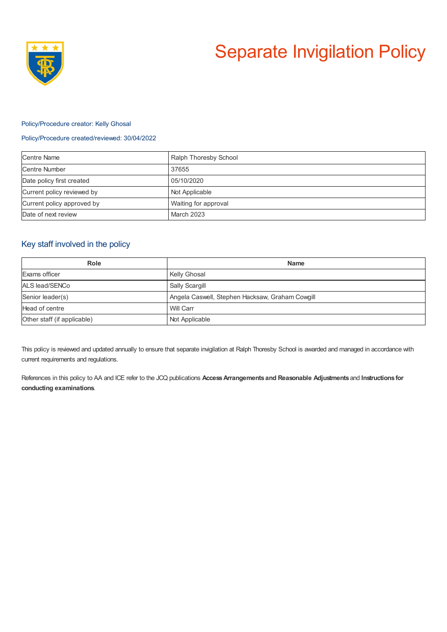

# Separate Invigilation Policy

#### Policy/Procedure creator: Kelly Ghosal

#### Policy/Procedure created/reviewed: 30/04/2022

| <b>Centre Name</b>         | Ralph Thoresby School |
|----------------------------|-----------------------|
| Centre Number              | 37655                 |
| Date policy first created  | 05/10/2020            |
| Current policy reviewed by | Not Applicable        |
| Current policy approved by | Waiting for approval  |
| Date of next review        | <b>March 2023</b>     |

## Key staff involved in the policy

| Role                        | <b>Name</b>                                     |
|-----------------------------|-------------------------------------------------|
| Exams officer               | Kelly Ghosal                                    |
| ALS lead/SENCo              | Sally Scargill                                  |
| Senior leader(s)            | Angela Caswell, Stephen Hacksaw, Graham Cowgill |
| Head of centre              | Will Carr                                       |
| Other staff (if applicable) | Not Applicable                                  |

This policy is reviewed and updated annually to ensure that separate invigilation at Ralph Thoresby School is awarded and managed in accordance with current requirements and regulations.

References in this policy to AA and ICE refer to the JCQ publications **AccessArrangements and Reasonable Adjustments** and **Instructions for conducting examinations**.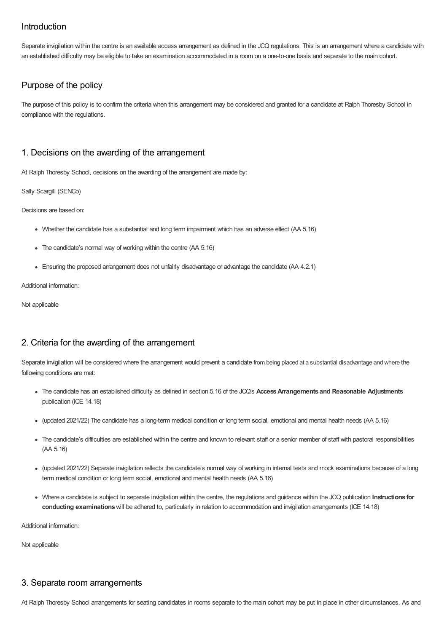# Introduction

Separate invigilation within the centre is an available access arrangement as defined in the JCQ regulations. This is an arrangement where a candidate with an established difficulty may be eligible to take an examination accommodated in a room on a one-to-one basis and separate to the main cohort.

# Purpose of the policy

The purpose of this policy is to confirm the criteria when this arrangement may be considered and granted for a candidate at Ralph Thoresby School in compliance with the regulations.

# 1. Decisions on the awarding of the arrangement

At Ralph Thoresby School, decisions on the awarding of the arrangement are made by:

Sally Scargill (SENCo)

Decisions are based on:

- Whether the candidate has a substantial and long term impairment which has an adverse effect (AA 5.16)
- The candidate's normal way of working within the centre (AA 5.16)
- Ensuring the proposed arrangement does not unfairly disadvantage or advantage the candidate (AA 4.2.1)

Additional information:

Not applicable

# 2. Criteria for the awarding of the arrangement

Separate invigilation will be considered where the arrangement would prevent a candidate from being placed at a substantial disadvantage and where the following conditions are met:

- The candidate has an established difficulty as defined in section 5.16 of the JCQ's **AccessArrangements and Reasonable Adjustments** publication (ICE 14.18)
- (updated 2021/22) The candidate has a long-term medical condition or long term social, emotional and mental health needs (AA 5.16)
- The candidate's difficulties are established within the centre and known to relevant staff or a senior member of staff with pastoral responsibilities (AA 5.16)
- (updated 2021/22) Separate invigilation reflects the candidate's normal way of working in internal tests and mock examinations because of a long term medical condition or long term social, emotional and mental health needs (AA 5.16)
- Where a candidate is subject to separate invigilation within the centre, the regulations and guidance within the JCQ publication **Instructions for conducting examinations**will be adhered to, particularly in relation to accommodation and invigilation arrangements (ICE 14.18)

Additional information:

Not applicable

## 3. Separate room arrangements

At Ralph Thoresby School arrangements for seating candidates in rooms separate to the main cohort may be put in place in other circumstances. As and